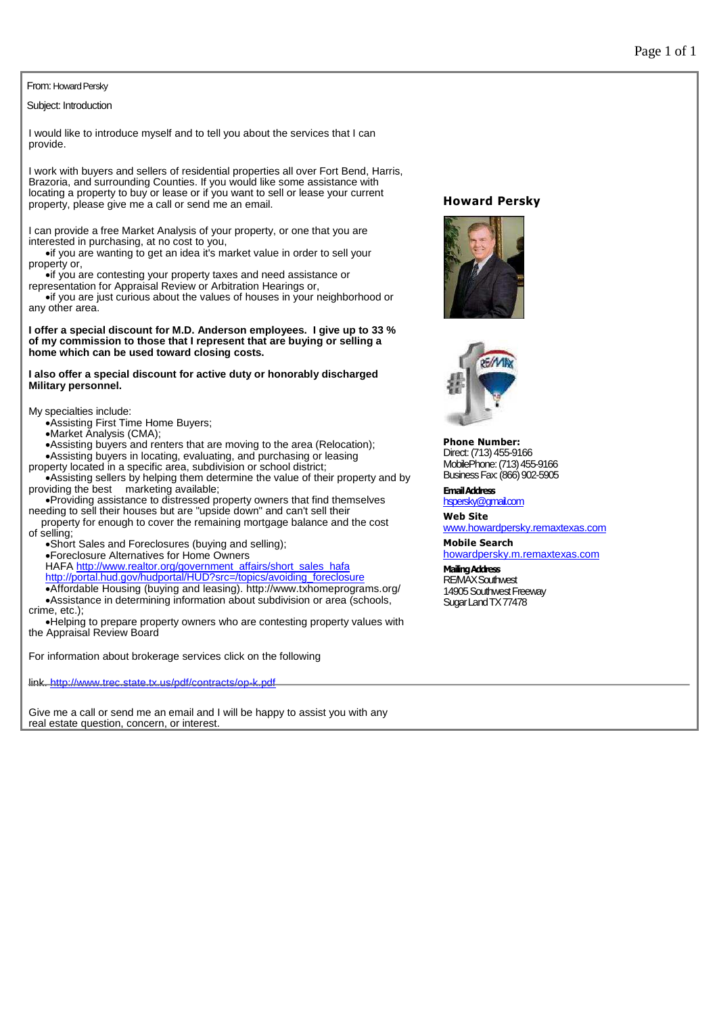## From: Howard Persky

Subject: Introduction

I would like to introduce myself and to tell you about the services that I can provide.

I work with buyers and sellers of residential properties all over Fort Bend, Harris, Brazoria, and surrounding Counties. If you would like some assistance with locating a property to buy or lease or if you want to sell or lease your current property, please give me a call or send me an email.

I can provide a free Market Analysis of your property, or one that you are interested in purchasing, at no cost to you,

if you are wanting to get an idea it's market value in order to sell your property or,

if you are contesting your property taxes and need assistance or

representation for Appraisal Review or Arbitration Hearings or, if you are just curious about the values of houses in your neighborhood or any other area.

**I offer a special discount for M.D. Anderson employees. I give up to 33 % of my commission to those that I represent that are buying or selling a home which can be used toward closing costs.**

**I also offer a special discount for active duty or honorably discharged Military personnel.**

My specialties include:

Assisting First Time Home Buyers;

Market Analysis (CMA);

Assisting buyers and renters that are moving to the area (Relocation);

Assisting buyers in locating, evaluating, and purchasing or leasing property located in a specific area, subdivision or school district;

Assisting sellers by helping them determine the value of their property and by providing the best marketing available;

Providing assistance to distressed property owners that find themselves needing to sell their houses but are "upside down" and can't sell their

property for enough to cover the remaining mortgage balance and the cost of selling;

Short Sales and Foreclosures (buying and selling);

Foreclosure Alternatives for Home Owners

HAFA http://www.realtor.org/government\_affairs/short\_sales\_hafa http://portal.hud.gov/hudportal/HUD?src=/topics/avoiding\_foreclosure Affordable Housing (buying and leasing). http://www.txhomeprograms.org/

Assistance in determining information about subdivision or area (schools, crime, etc.);

Helping to prepare property owners who are contesting property values with the Appraisal Review Board

For information about brokerage services click on the following

link. http://www.trec.state.tx.us/pdf/contracts/op-k.pdf

Give me a call or send me an email and I will be happy to assist you with any real estate question, concern, or interest.

## **Howard Persky**





**Phone Number:** Direct:(713)455-9166 MobilePhone:(713)455-9166 BusinessFax:(866)902-5905

**EmailAddress** hspersky@gmail.com

**Web Site** www.howardpersky.remaxtexas.com

**Mobile Search** howardpersky.m.remaxtexas.com

**MailingAddress** RE/MAXSouthwest 14905 Southwest Freeway Sugar Land TX77478